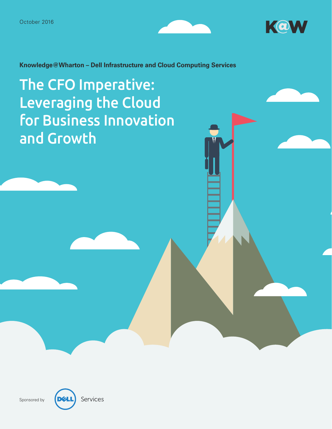



**Knowledge@Wharton – Dell Infrastructure and Cloud Computing Services** 

The CFO Imperative: Leveraging the Cloud for Business Innovation and Growth



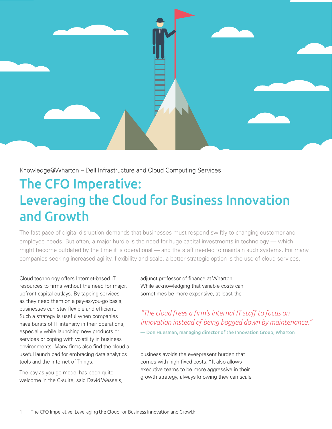

Knowledge@Wharton – Dell Infrastructure and Cloud Computing Services

# The CFO Imperative: Leveraging the Cloud for Business Innovation and Growth

The fast pace of digital disruption demands that businesses must respond swiftly to changing customer and employee needs. But often, a major hurdle is the need for huge capital investments in technology — which might become outdated by the time it is operational — and the staff needed to maintain such systems. For many companies seeking increased agility, flexibility and scale, a better strategic option is the use of cloud services.

Cloud technology offers Internet-based IT resources to firms without the need for major, upfront capital outlays. By tapping services as they need them on a pay-as-you-go basis, businesses can stay flexible and efficient. Such a strategy is useful when companies have bursts of IT intensity in their operations, especially while launching new products or services or coping with volatility in business environments. Many firms also find the cloud a useful launch pad for embracing data analytics tools and the Internet of Things.

The pay-as-you-go model has been quite welcome in the C-suite, said David Wessels, adjunct professor of finance at Wharton. While acknowledging that variable costs can sometimes be more expensive, at least the

*"The cloud frees a firm's internal IT staff to focus on innovation instead of being bogged down by maintenance."* 

— Don Huesman, managing director of the Innovation Group, Wharton

business avoids the ever-present burden that comes with high fixed costs. "It also allows executive teams to be more aggressive in their growth strategy, always knowing they can scale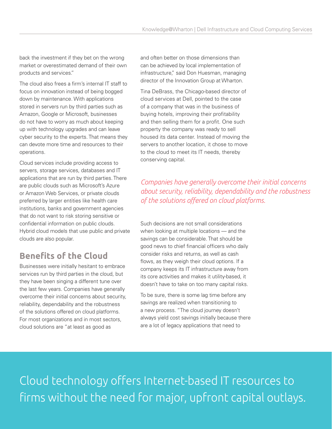back the investment if they bet on the wrong market or overestimated demand of their own products and services."

The cloud also frees a firm's internal IT staff to focus on innovation instead of being bogged down by maintenance. With applications stored in servers run by third parties such as Amazon, Google or Microsoft, businesses do not have to worry as much about keeping up with technology upgrades and can leave cyber security to the experts. That means they can devote more time and resources to their operations.

Cloud services include providing access to servers, storage services, databases and IT applications that are run by third parties. There are public clouds such as Microsoft's Azure or Amazon Web Services, or private clouds preferred by larger entities like health care institutions, banks and government agencies that do not want to risk storing sensitive or confidential information on public clouds. Hybrid cloud models that use public and private clouds are also popular.

# **Benefits of the Cloud**

Businesses were initially hesitant to embrace services run by third parties in the cloud, but they have been singing a different tune over the last few years. Companies have generally overcome their initial concerns about security, reliability, dependability and the robustness of the solutions offered on cloud platforms. For most organizations and in most sectors, cloud solutions are "at least as good as

and often better on those dimensions than can be achieved by local implementation of infrastructure," said Don Huesman, managing director of the Innovation Group at Wharton.

Tina DeBrass, the Chicago-based director of cloud services at Dell, pointed to the case of a company that was in the business of buying hotels, improving their profitability and then selling them for a profit. One such property the company was ready to sell housed its data center. Instead of moving the servers to another location, it chose to move to the cloud to meet its IT needs, thereby conserving capital.

*Companies have generally overcome their initial concerns about security, reliability, dependability and the robustness of the solutions offered on cloud platforms.*

Such decisions are not small considerations when looking at multiple locations — and the savings can be considerable. That should be good news to chief financial officers who daily consider risks and returns, as well as cash flows, as they weigh their cloud options. If a company keeps its IT infrastructure away from its core activities and makes it utility-based, it doesn't have to take on too many capital risks.

To be sure, there is some lag time before any savings are realized when transitioning to a new process. "The cloud journey doesn't always yield cost savings initially because there are a lot of legacy applications that need to

Cloud technology offers Internet-based IT resources to firms without the need for major, upfront capital outlays.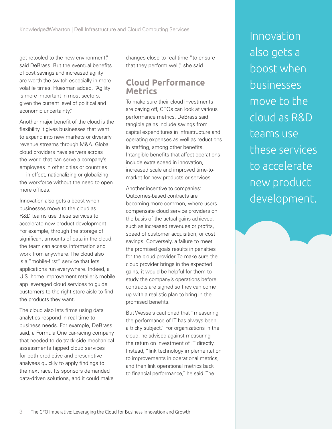get retooled to the new environment," said DeBrass. But the eventual benefits of cost savings and increased agility are worth the switch especially in more volatile times. Huesman added, "Agility is more important in most sectors, given the current level of political and economic uncertainty."

Another major benefit of the cloud is the flexibility it gives businesses that want to expand into new markets or diversify revenue streams through M&A. Global cloud providers have servers across the world that can serve a company's employees in other cities or countries — in effect, nationalizing or globalizing the workforce without the need to open more offices.

Innovation also gets a boost when businesses move to the cloud as R&D teams use these services to accelerate new product development. For example, through the storage of significant amounts of data in the cloud, the team can access information and work from anywhere. The cloud also is a "mobile-first" service that lets applications run everywhere. Indeed, a U.S. home improvement retailer's mobile app leveraged cloud services to guide customers to the right store aisle to find the products they want.

The cloud also lets firms using data analytics respond in real-time to business needs. For example, DeBrass said, a Formula One car-racing company that needed to do track-side mechanical assessments tapped cloud services for both predictive and prescriptive analyses quickly to apply findings to the next race. Its sponsors demanded data-driven solutions, and it could make

changes close to real time "to ensure that they perform well," she said.

## **Cloud Performance Metrics**

To make sure their cloud investments are paying off, CFOs can look at various performance metrics. DeBrass said tangible gains include savings from capital expenditures in infrastructure and operating expenses as well as reductions in staffing, among other benefits. Intangible benefits that affect operations include extra speed in innovation, increased scale and improved time-tomarket for new products or services.

Another incentive to companies: Outcomes-based contracts are becoming more common, where users compensate cloud service providers on the basis of the actual gains achieved. such as increased revenues or profits, speed of customer acquisition, or cost savings. Conversely, a failure to meet the promised goals results in penalties for the cloud provider. To make sure the cloud provider brings in the expected gains, it would be helpful for them to study the company's operations before contracts are signed so they can come up with a realistic plan to bring in the promised benefits.

But Wessels cautioned that "measuring the performance of IT has always been a tricky subject." For organizations in the cloud, he advised against measuring the return on investment of IT directly. Instead, "link technology implementation to improvements in operational metrics, and then link operational metrics back to financial performance," he said. The

Innovation also gets a boost when businesses move to the cloud as R&D teams use these services to accelerate new product development.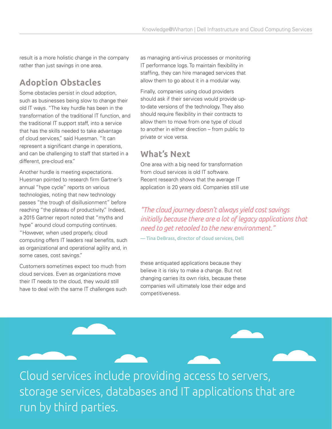result is a more holistic change in the company rather than just savings in one area.

# **Adoption Obstacles**

Some obstacles persist in cloud adoption, such as businesses being slow to change their old IT ways. "The key hurdle has been in the transformation of the traditional IT function, and the traditional IT support staff, into a service that has the skills needed to take advantage of cloud services," said Huesman. "It can represent a significant change in operations, and can be challenging to staff that started in a different, pre-cloud era."

Another hurdle is meeting expectations. Huesman pointed to research firm Gartner's annual "hype cycle" reports on various technologies, noting that new technology passes "the trough of disillusionment" before reaching "the plateau of productivity." Indeed, a 2015 Gartner report noted that "myths and hype" around cloud computing continues. "However, when used properly, cloud computing offers IT leaders real benefits, such

as organizational and operational agility and, in some cases, cost savings."

Customers sometimes expect too much from cloud services. Even as organizations move their IT needs to the cloud, they would still have to deal with the same IT challenges such as managing anti-virus processes or monitoring IT performance logs. To maintain flexibility in staffing, they can hire managed services that allow them to go about it in a modular way.

Finally, companies using cloud providers should ask if their services would provide upto-date versions of the technology. They also should require flexibility in their contracts to allow them to move from one type of cloud to another in either direction – from public to private or vice versa.

## **What's Next**

One area with a big need for transformation from cloud services is old IT software. Recent research shows that the average IT application is 20 years old. Companies still use

#### *"The cloud journey doesn't always yield cost savings initially because there are a lot of legacy applications that need to get retooled to the new environment."*

— Tina DeBrass, director of cloud services, Dell

these antiquated applications because they believe it is risky to make a change. But not changing carries its own risks, because these companies will ultimately lose their edge and competitiveness.

Cloud services include providing access to servers, storage services, databases and IT applications that are run by third parties.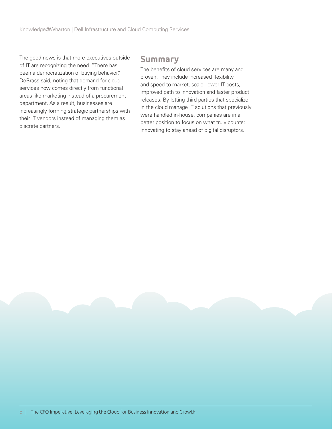The good news is that more executives outside of IT are recognizing the need. "There has been a democratization of buying behavior," DeBrass said, noting that demand for cloud services now comes directly from functional areas like marketing instead of a procurement department. As a result, businesses are increasingly forming strategic partnerships with their IT vendors instead of managing them as discrete partners.

#### **Summary**

The benefits of cloud services are many and proven. They include increased flexibility and speed-to-market, scale, lower IT costs, improved path to innovation and faster product releases. By letting third parties that specialize in the cloud manage IT solutions that previously were handled in-house, companies are in a better position to focus on what truly counts: innovating to stay ahead of digital disruptors.